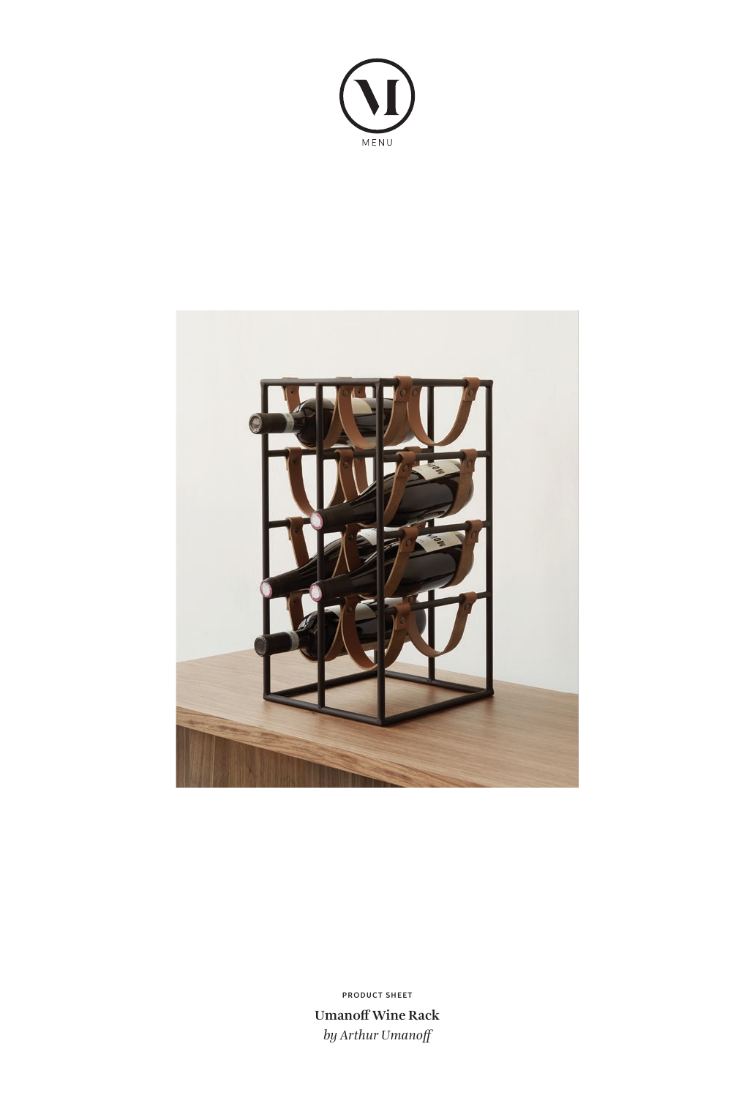



**Umanoff Wine Rack** *by Arthur Umanoff* **PRODUCT SHEET**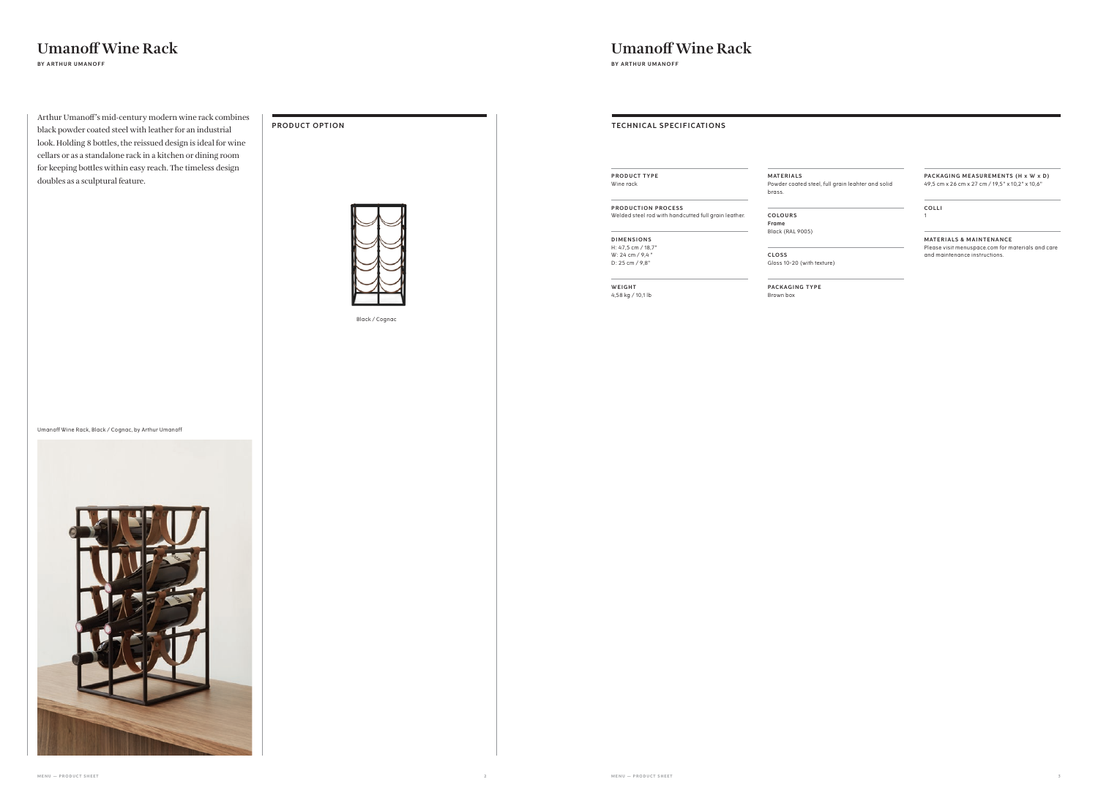| <b>TECHNICAL SPECIFICATIONS</b>                      |                    |
|------------------------------------------------------|--------------------|
| <b>PRODUCT TYPE</b>                                  | MATERI             |
| Wine rack                                            | Powder o<br>brass. |
| <b>PRODUCTION PROCESS</b>                            |                    |
| Welded steel rod with handcutted full grain leather. | COLOUI<br>Frame    |
| <b>DIMENSIONS</b>                                    | Black (R/          |
| H: 47,5 cm / 18,7"                                   |                    |
| W: 24 cm / 9,4"                                      | CLOSS <sub>.</sub> |
| D: 25 cm / 9,8"                                      | Gloss 10-          |
| WEIGHT                                               | <b>PACKAC</b>      |
| 4,58 kg / 10,1 lb                                    | Brown bo           |

#### PACKAGING MEASUREMENTS (H x W x D) 49,5 cm x 26 cm x 27 cm / 19,5" x 10,2" x 10,6"

#### **M AT E R I A LS**

Powder coated steel, full grain leahter and solid

**MATERIALS & MAINTENANCE** Please visit menuspace.com for materials and care and maintenance instructions.

**COLOURS**

Black (RAL 9005)

Gloss 10-20 (with texture)

**PACKAGING TYPE** Brown box

**COLLI** 1

## **Umanoff Wine Rack**

**BY ARTHUR UMANOFF**

Black / Cognac

Arthur Umanoff's mid-century modern wine rack combines black powder coated steel with leather for an industrial look. Holding 8 bottles, the reissued design is ideal for wine cellars or as a standalone rack in a kitchen or dining room for keeping bottles within easy reach. The timeless design doubles as a sculptural feature.

**PRODUCT OPTION**



Umanoff Wine Rack, Black / Cognac, by Arthur Umanoff



### **Umanoff Wine Rack**

**BY ARTHUR UMANOFF**